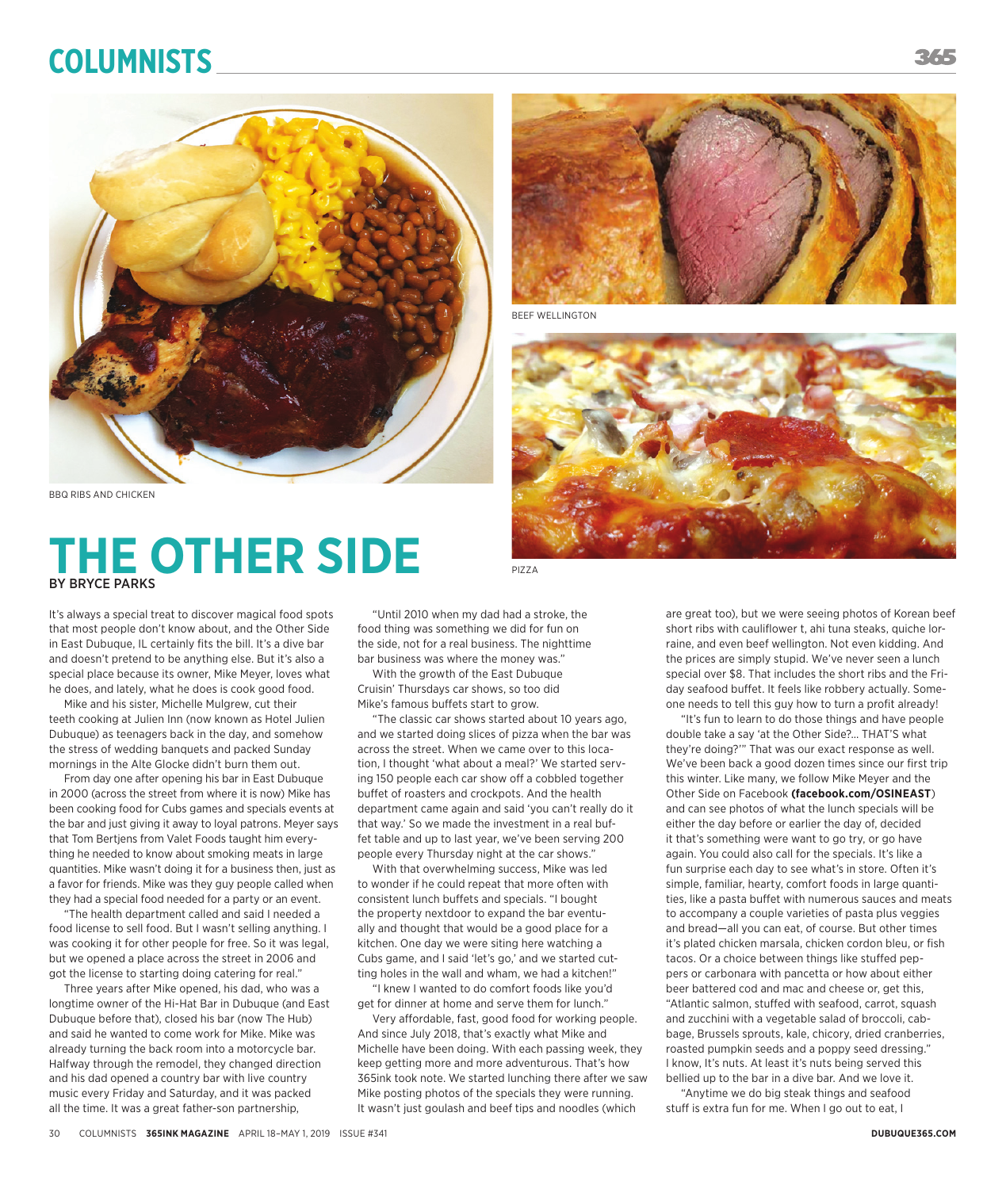# **Columnists**



BBQ RIBS AND CHICKEN

# **THE OTHER SIDE** BY BRYCE PARKS

It's always a special treat to discover magical food spots that most people don't know about, and the Other Side in East Dubuque, IL certainly fits the bill. It's a dive bar and doesn't pretend to be anything else. But it's also a special place because its owner, Mike Meyer, loves what he does, and lately, what he does is cook good food.

Mike and his sister, Michelle Mulgrew, cut their teeth cooking at Julien Inn (now known as Hotel Julien Dubuque) as teenagers back in the day, and somehow the stress of wedding banquets and packed Sunday mornings in the Alte Glocke didn't burn them out.

From day one after opening his bar in East Dubuque in 2000 (across the street from where it is now) Mike has been cooking food for Cubs games and specials events at the bar and just giving it away to loyal patrons. Meyer says that Tom Bertjens from Valet Foods taught him everything he needed to know about smoking meats in large quantities. Mike wasn't doing it for a business then, just as a favor for friends. Mike was they guy people called when they had a special food needed for a party or an event.

"The health department called and said I needed a food license to sell food. But I wasn't selling anything. I was cooking it for other people for free. So it was legal, but we opened a place across the street in 2006 and got the license to starting doing catering for real."

Three years after Mike opened, his dad, who was a longtime owner of the Hi-Hat Bar in Dubuque (and East Dubuque before that), closed his bar (now The Hub) and said he wanted to come work for Mike. Mike was already turning the back room into a motorcycle bar. Halfway through the remodel, they changed direction and his dad opened a country bar with live country music every Friday and Saturday, and it was packed all the time. It was a great father-son partnership,

"Until 2010 when my dad had a stroke, the food thing was something we did for fun on the side, not for a real business. The nighttime bar business was where the money was."

With the growth of the East Dubuque Cruisin' Thursdays car shows, so too did Mike's famous buffets start to grow.

"The classic car shows started about 10 years ago, and we started doing slices of pizza when the bar was across the street. When we came over to this location, I thought 'what about a meal?' We started serving 150 people each car show off a cobbled together buffet of roasters and crockpots. And the health department came again and said 'you can't really do it that way.' So we made the investment in a real buffet table and up to last year, we've been serving 200 people every Thursday night at the car shows."

With that overwhelming success, Mike was led to wonder if he could repeat that more often with consistent lunch buffets and specials. "I bought the property nextdoor to expand the bar eventually and thought that would be a good place for a kitchen. One day we were siting here watching a Cubs game, and I said 'let's go,' and we started cutting holes in the wall and wham, we had a kitchen!"

"I knew I wanted to do comfort foods like you'd get for dinner at home and serve them for lunch."

Very affordable, fast, good food for working people. And since July 2018, that's exactly what Mike and Michelle have been doing. With each passing week, they keep getting more and more adventurous. That's how 365ink took note. We started lunching there after we saw Mike posting photos of the specials they were running. It wasn't just goulash and beef tips and noodles (which



BEEF WELLINGTON



PIZZA

are great too), but we were seeing photos of Korean beef short ribs with cauliflower t, ahi tuna steaks, quiche lorraine, and even beef wellington. Not even kidding. And the prices are simply stupid. We've never seen a lunch special over \$8. That includes the short ribs and the Friday seafood buffet. It feels like robbery actually. Someone needs to tell this guy how to turn a profit already!

"It's fun to learn to do those things and have people double take a say 'at the Other Side?… THAT'S what they're doing?'" That was our exact response as well. We've been back a good dozen times since our first trip this winter. Like many, we follow Mike Meyer and the Other Side on Facebook **(facebook.com/OSINEAST**) and can see photos of what the lunch specials will be either the day before or earlier the day of, decided it that's something were want to go try, or go have again. You could also call for the specials. It's like a fun surprise each day to see what's in store. Often it's simple, familiar, hearty, comfort foods in large quantities, like a pasta buffet with numerous sauces and meats to accompany a couple varieties of pasta plus veggies and bread—all you can eat, of course. But other times it's plated chicken marsala, chicken cordon bleu, or fish tacos. Or a choice between things like stuffed peppers or carbonara with pancetta or how about either beer battered cod and mac and cheese or, get this, "Atlantic salmon, stuffed with seafood, carrot, squash and zucchini with a vegetable salad of broccoli, cabbage, Brussels sprouts, kale, chicory, dried cranberries, roasted pumpkin seeds and a poppy seed dressing." I know, It's nuts. At least it's nuts being served this bellied up to the bar in a dive bar. And we love it.

"Anytime we do big steak things and seafood stuff is extra fun for me. When I go out to eat, I